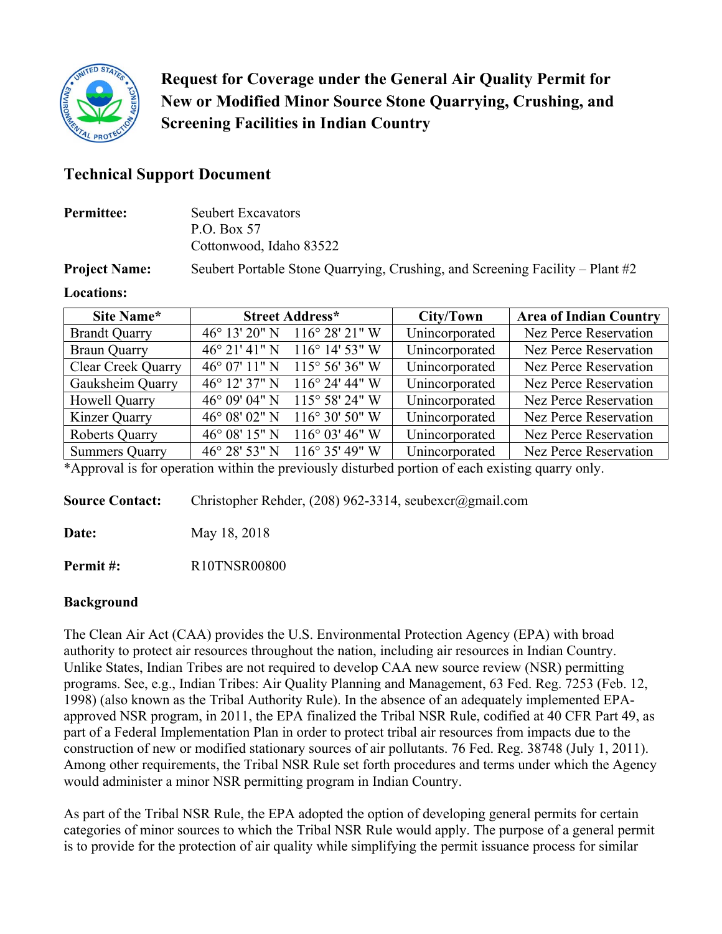

**Request for Coverage under the General Air Quality Permit for New or Modified Minor Source Stone Quarrying, Crushing, and Screening Facilities in Indian Country**

# **Technical Support Document**

| <b>Permittee:</b>    | <b>Seubert Excavators</b><br>P.O. Box 57                                         |
|----------------------|----------------------------------------------------------------------------------|
|                      | Cottonwood, Idaho 83522                                                          |
| <b>Project Name:</b> | Seubert Portable Stone Quarrying, Crushing, and Screening Facility – Plant $\#2$ |

#### **Locations:**

| Site Name*                | <b>Street Address*</b>  |                          | City/Town      | <b>Area of Indian Country</b> |  |
|---------------------------|-------------------------|--------------------------|----------------|-------------------------------|--|
| <b>Brandt Quarry</b>      | 46° 13' 20" N           | $116^{\circ} 28' 21''$ W | Unincorporated | Nez Perce Reservation         |  |
| <b>Braun Quarry</b>       | $46^{\circ}$ 21' 41" N  | $116^{\circ}$ 14' 53" W  | Unincorporated | Nez Perce Reservation         |  |
| <b>Clear Creek Quarry</b> | 46° 07' 11" N           | $115^{\circ} 56' 36'' W$ | Unincorporated | Nez Perce Reservation         |  |
| Gauksheim Quarry          | $46^{\circ}$ 12' 37" N  | $116^{\circ}$ 24' 44" W  | Unincorporated | Nez Perce Reservation         |  |
| Howell Quarry             | 46° 09' 04" N           | $115^{\circ}$ 58' 24" W  | Unincorporated | Nez Perce Reservation         |  |
| Kinzer Quarry             | $46^{\circ}$ 08' 02" N  | $116^{\circ} 30' 50''$ W | Unincorporated | Nez Perce Reservation         |  |
| <b>Roberts Quarry</b>     | 46° 08′ 15″ N           | $116^{\circ}$ 03' 46" W  | Unincorporated | Nez Perce Reservation         |  |
| <b>Summers Quarry</b>     | $46^{\circ} 28' 53''$ N | $116^{\circ}$ 35' 49" W  | Unincorporated | Nez Perce Reservation         |  |

\*Approval is for operation within the previously disturbed portion of each existing quarry only.

**Source Contact:** Christopher Rehder, (208) 962-3314, seubexcr@gmail.com

**Date:** May 18, 2018

**Permit #:** R10TNSR00800

# **Background**

The Clean Air Act (CAA) provides the U.S. Environmental Protection Agency (EPA) with broad authority to protect air resources throughout the nation, including air resources in Indian Country. Unlike States, Indian Tribes are not required to develop CAA new source review (NSR) permitting programs. See, e.g., Indian Tribes: Air Quality Planning and Management, 63 Fed. Reg. 7253 (Feb. 12, 1998) (also known as the Tribal Authority Rule). In the absence of an adequately implemented EPAapproved NSR program, in 2011, the EPA finalized the Tribal NSR Rule, codified at 40 CFR Part 49, as part of a Federal Implementation Plan in order to protect tribal air resources from impacts due to the construction of new or modified stationary sources of air pollutants. 76 Fed. Reg. 38748 (July 1, 2011). Among other requirements, the Tribal NSR Rule set forth procedures and terms under which the Agency would administer a minor NSR permitting program in Indian Country.

As part of the Tribal NSR Rule, the EPA adopted the option of developing general permits for certain categories of minor sources to which the Tribal NSR Rule would apply. The purpose of a general permit is to provide for the protection of air quality while simplifying the permit issuance process for similar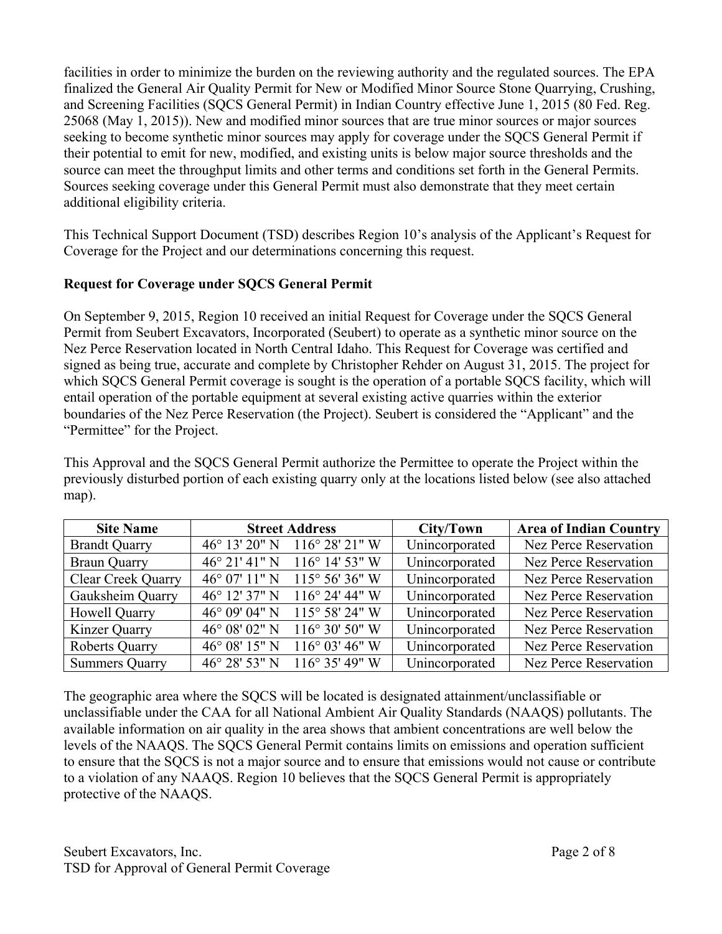facilities in order to minimize the burden on the reviewing authority and the regulated sources. The EPA finalized the General Air Quality Permit for New or Modified Minor Source Stone Quarrying, Crushing, and Screening Facilities (SQCS General Permit) in Indian Country effective June 1, 2015 (80 Fed. Reg. 25068 (May 1, 2015)). New and modified minor sources that are true minor sources or major sources seeking to become synthetic minor sources may apply for coverage under the SQCS General Permit if their potential to emit for new, modified, and existing units is below major source thresholds and the source can meet the throughput limits and other terms and conditions set forth in the General Permits. Sources seeking coverage under this General Permit must also demonstrate that they meet certain additional eligibility criteria.

This Technical Support Document (TSD) describes Region 10's analysis of the Applicant's Request for Coverage for the Project and our determinations concerning this request.

# **Request for Coverage under SQCS General Permit**

On September 9, 2015, Region 10 received an initial Request for Coverage under the SQCS General Permit from Seubert Excavators, Incorporated (Seubert) to operate as a synthetic minor source on the Nez Perce Reservation located in North Central Idaho. This Request for Coverage was certified and signed as being true, accurate and complete by Christopher Rehder on August 31, 2015. The project for which SQCS General Permit coverage is sought is the operation of a portable SQCS facility, which will entail operation of the portable equipment at several existing active quarries within the exterior boundaries of the Nez Perce Reservation (the Project). Seubert is considered the "Applicant" and the "Permittee" for the Project.

This Approval and the SQCS General Permit authorize the Permittee to operate the Project within the previously disturbed portion of each existing quarry only at the locations listed below (see also attached map).

| <b>Site Name</b>          | <b>Street Address</b>   |                          | City/Town      | <b>Area of Indian Country</b> |  |
|---------------------------|-------------------------|--------------------------|----------------|-------------------------------|--|
| <b>Brandt Quarry</b>      | $46^{\circ}$ 13' 20" N  | $116^{\circ} 28' 21''$ W | Unincorporated | Nez Perce Reservation         |  |
| <b>Braun Quarry</b>       | $46^{\circ} 21' 41''$ N | $116^{\circ}$ 14' 53" W  | Unincorporated | Nez Perce Reservation         |  |
| <b>Clear Creek Quarry</b> | $46^{\circ}$ 07' 11" N  | $115^{\circ} 56' 36'' W$ | Unincorporated | Nez Perce Reservation         |  |
| Gauksheim Quarry          | 46 $\degree$ 12' 37" N  | $116^{\circ}$ 24' 44" W  | Unincorporated | Nez Perce Reservation         |  |
| Howell Quarry             | 46° 09' 04" N           | $115^{\circ}$ 58' 24" W  | Unincorporated | Nez Perce Reservation         |  |
| Kinzer Quarry             | 46° 08′ 02″ N           | $116^{\circ} 30' 50''$ W | Unincorporated | Nez Perce Reservation         |  |
| <b>Roberts Quarry</b>     | 46° 08′ 15″ N           | $116^{\circ}$ 03' 46" W  | Unincorporated | Nez Perce Reservation         |  |
| <b>Summers Quarry</b>     | $46^{\circ}$ 28' 53" N  | $116^{\circ}$ 35' 49" W  | Unincorporated | Nez Perce Reservation         |  |

The geographic area where the SQCS will be located is designated attainment/unclassifiable or unclassifiable under the CAA for all National Ambient Air Quality Standards (NAAQS) pollutants. The available information on air quality in the area shows that ambient concentrations are well below the levels of the NAAQS. The SQCS General Permit contains limits on emissions and operation sufficient to ensure that the SQCS is not a major source and to ensure that emissions would not cause or contribute to a violation of any NAAQS. Region 10 believes that the SQCS General Permit is appropriately protective of the NAAQS.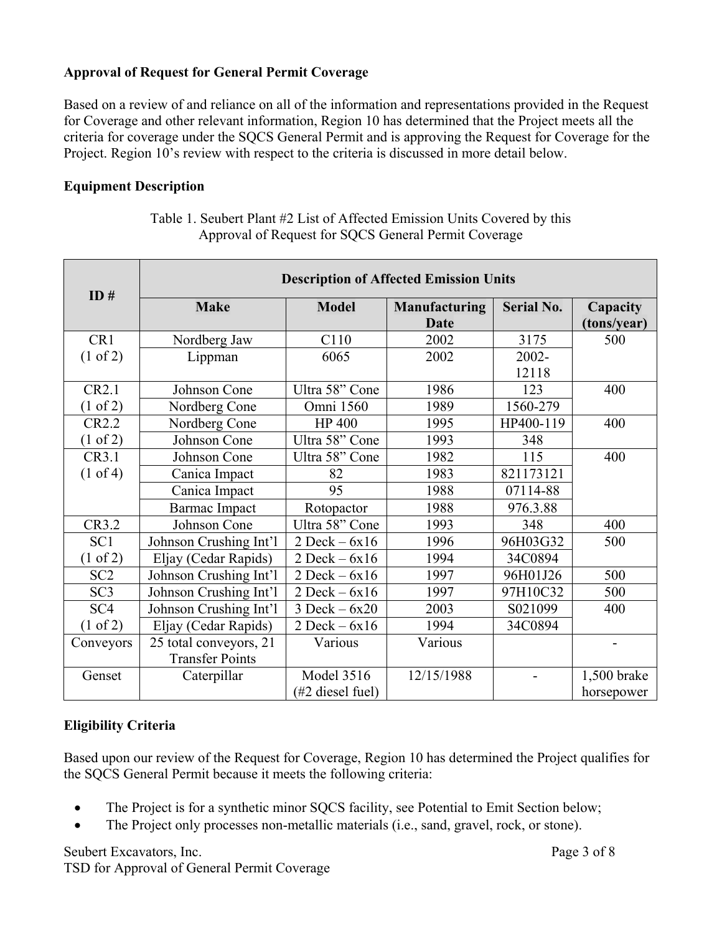# **Approval of Request for General Permit Coverage**

Based on a review of and reliance on all of the information and representations provided in the Request for Coverage and other relevant information, Region 10 has determined that the Project meets all the criteria for coverage under the SQCS General Permit and is approving the Request for Coverage for the Project. Region 10's review with respect to the criteria is discussed in more detail below.

# **Equipment Description**

| ID#                 | <b>Description of Affected Emission Units</b> |                     |               |                   |                          |  |  |
|---------------------|-----------------------------------------------|---------------------|---------------|-------------------|--------------------------|--|--|
|                     | <b>Make</b>                                   | <b>Model</b>        | Manufacturing | <b>Serial No.</b> | Capacity                 |  |  |
|                     |                                               |                     | Date          |                   | (tons/year)              |  |  |
| CR1                 | Nordberg Jaw                                  | C110                | 2002          | 3175              | 500                      |  |  |
| $(1 \text{ of } 2)$ | Lippman                                       | 6065                | 2002          | 2002-             |                          |  |  |
|                     |                                               |                     |               | 12118             |                          |  |  |
| CR2.1               | Johnson Cone                                  | Ultra 58" Cone      | 1986          | 123               | 400                      |  |  |
| (1 of 2)            | Nordberg Cone                                 | Omni 1560           | 1989          | 1560-279          |                          |  |  |
| CR2.2               | Nordberg Cone                                 | <b>HP 400</b>       | 1995          | HP400-119         | 400                      |  |  |
| $(1 \text{ of } 2)$ | Johnson Cone                                  | Ultra 58" Cone      | 1993          | 348               |                          |  |  |
| CR3.1               | Johnson Cone                                  | Ultra 58" Cone      | 1982          | 115               | 400                      |  |  |
| $(1 \text{ of } 4)$ | Canica Impact                                 | 82                  | 1983          | 821173121         |                          |  |  |
|                     | Canica Impact                                 | 95                  | 1988          | 07114-88          |                          |  |  |
|                     | <b>Barmac Impact</b>                          | Rotopactor          | 1988          | 976.3.88          |                          |  |  |
| CR3.2               | Johnson Cone                                  | Ultra 58" Cone      | 1993          | 348               | 400                      |  |  |
| SC <sub>1</sub>     | Johnson Crushing Int'l                        | $2$ Deck – $6x16$   | 1996          | 96H03G32          | 500                      |  |  |
| $(1 \text{ of } 2)$ | Eljay (Cedar Rapids)                          | $2$ Deck $-6x16$    | 1994          | 34C0894           |                          |  |  |
| SC <sub>2</sub>     | Johnson Crushing Int'l                        | $2$ Deck $-6x16$    | 1997          | 96H01J26          | 500                      |  |  |
| SC <sub>3</sub>     | Johnson Crushing Int'l                        | $2$ Deck $-6x16$    | 1997          | 97H10C32          | 500                      |  |  |
| SC <sub>4</sub>     | Johnson Crushing Int'l                        | $3$ Deck $-6x20$    | 2003          | S021099           | 400                      |  |  |
| $(1 \text{ of } 2)$ | Eljay (Cedar Rapids)                          | $2$ Deck $-6x16$    | 1994          | 34C0894           |                          |  |  |
| Conveyors           | 25 total conveyors, 21                        | Various             | Various       |                   | $\overline{\phantom{a}}$ |  |  |
|                     | <b>Transfer Points</b>                        |                     |               |                   |                          |  |  |
| Genset              | Caterpillar                                   | <b>Model 3516</b>   | 12/15/1988    |                   | 1,500 brake              |  |  |
|                     |                                               | $(\#2$ diesel fuel) |               |                   | horsepower               |  |  |

Table 1. Seubert Plant #2 List of Affected Emission Units Covered by this Approval of Request for SQCS General Permit Coverage

# **Eligibility Criteria**

Based upon our review of the Request for Coverage, Region 10 has determined the Project qualifies for the SQCS General Permit because it meets the following criteria:

- The Project is for a synthetic minor SQCS facility, see Potential to Emit Section below;
- The Project only processes non-metallic materials (i.e., sand, gravel, rock, or stone).

Seubert Excavators, Inc. Page 3 of 8 TSD for Approval of General Permit Coverage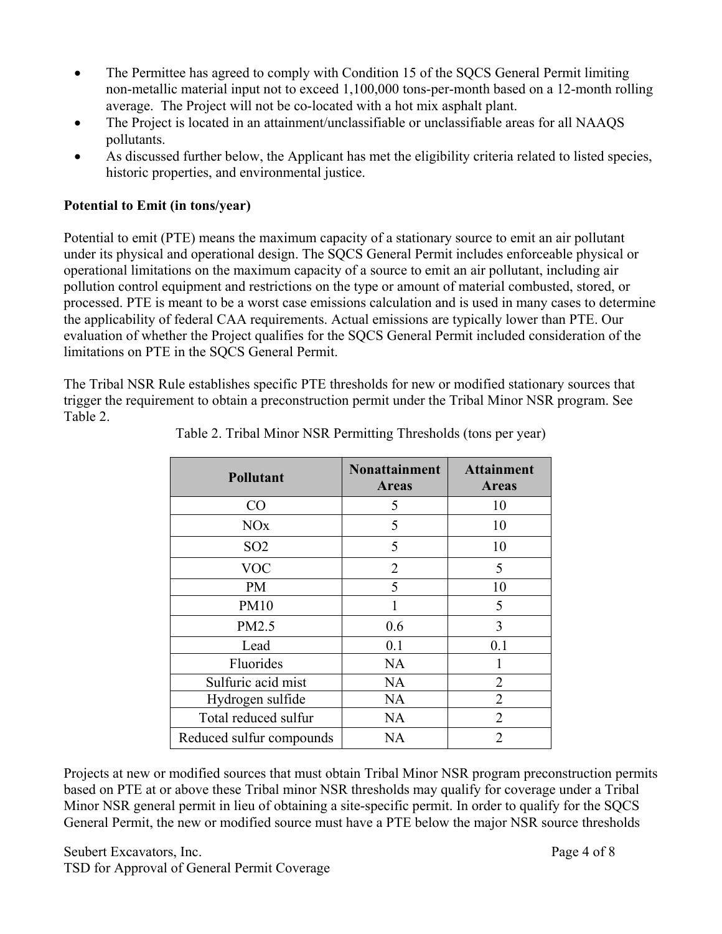- The Permittee has agreed to comply with Condition 15 of the SQCS General Permit limiting non-metallic material input not to exceed 1,100,000 tons-per-month based on a 12-month rolling average. The Project will not be co-located with a hot mix asphalt plant.
- The Project is located in an attainment/unclassifiable or unclassifiable areas for all NAAQS pollutants.
- As discussed further below, the Applicant has met the eligibility criteria related to listed species, historic properties, and environmental justice.

# **Potential to Emit (in tons/year)**

Potential to emit (PTE) means the maximum capacity of a stationary source to emit an air pollutant under its physical and operational design. The SQCS General Permit includes enforceable physical or operational limitations on the maximum capacity of a source to emit an air pollutant, including air pollution control equipment and restrictions on the type or amount of material combusted, stored, or processed. PTE is meant to be a worst case emissions calculation and is used in many cases to determine the applicability of federal CAA requirements. Actual emissions are typically lower than PTE. Our evaluation of whether the Project qualifies for the SQCS General Permit included consideration of the limitations on PTE in the SQCS General Permit.

The Tribal NSR Rule establishes specific PTE thresholds for new or modified stationary sources that trigger the requirement to obtain a preconstruction permit under the Tribal Minor NSR program. See Table 2.

| <b>Pollutant</b>         | <b>Nonattainment</b><br><b>Areas</b> | <b>Attainment</b><br><b>Areas</b> |  |  |
|--------------------------|--------------------------------------|-----------------------------------|--|--|
| CO                       | 5                                    | 10                                |  |  |
| <b>NO<sub>x</sub></b>    | 5                                    | 10                                |  |  |
| SO <sub>2</sub>          | 5                                    | 10                                |  |  |
| <b>VOC</b>               | $\overline{2}$                       | 5                                 |  |  |
| PM                       | 5                                    | 10                                |  |  |
| <b>PM10</b>              | 1                                    | 5                                 |  |  |
| PM2.5                    | 0.6                                  | 3                                 |  |  |
| Lead                     | 0.1                                  | 0.1                               |  |  |
| Fluorides                | <b>NA</b>                            |                                   |  |  |
| Sulfuric acid mist       | <b>NA</b>                            | $\overline{2}$                    |  |  |
| Hydrogen sulfide         | <b>NA</b>                            | $\overline{2}$                    |  |  |
| Total reduced sulfur     | <b>NA</b>                            | $\overline{2}$                    |  |  |
| Reduced sulfur compounds | NA                                   | $\overline{2}$                    |  |  |

Table 2. Tribal Minor NSR Permitting Thresholds (tons per year)

Projects at new or modified sources that must obtain Tribal Minor NSR program preconstruction permits based on PTE at or above these Tribal minor NSR thresholds may qualify for coverage under a Tribal Minor NSR general permit in lieu of obtaining a site-specific permit. In order to qualify for the SQCS General Permit, the new or modified source must have a PTE below the major NSR source thresholds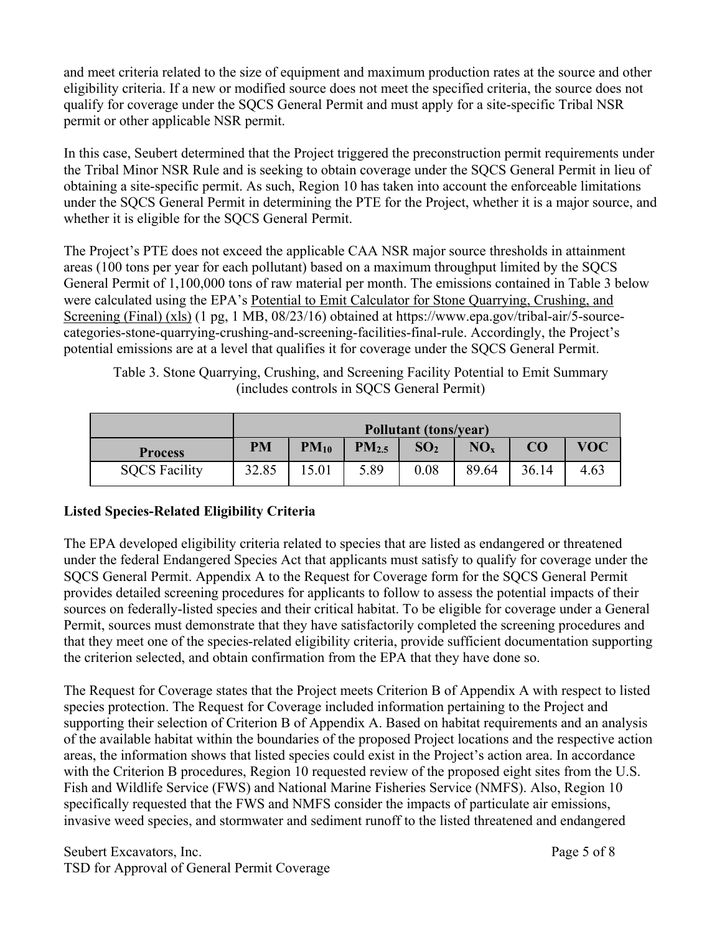and meet criteria related to the size of equipment and maximum production rates at the source and other eligibility criteria. If a new or modified source does not meet the specified criteria, the source does not qualify for coverage under the SQCS General Permit and must apply for a site-specific Tribal NSR permit or other applicable NSR permit.

In this case, Seubert determined that the Project triggered the preconstruction permit requirements under the Tribal Minor NSR Rule and is seeking to obtain coverage under the SQCS General Permit in lieu of obtaining a site-specific permit. As such, Region 10 has taken into account the enforceable limitations under the SQCS General Permit in determining the PTE for the Project, whether it is a major source, and whether it is eligible for the SQCS General Permit.

The Project's PTE does not exceed the applicable CAA NSR major source thresholds in attainment areas (100 tons per year for each pollutant) based on a maximum throughput limited by the SQCS General Permit of 1,100,000 tons of raw material per month. The emissions contained in Table 3 below were calculated using the EPA's Potential to Emit Calculator for Stone Quarrying, Crushing, and Screening (Final) (xls) (1 pg, 1 MB, 08/23/16) obtained at https://www.epa.gov/tribal-air/5-sourcecategories-stone-quarrying-crushing-and-screening-facilities-final-rule. Accordingly, the Project's potential emissions are at a level that qualifies it for coverage under the SQCS General Permit.

Table 3. Stone Quarrying, Crushing, and Screening Facility Potential to Emit Summary (includes controls in SQCS General Permit)

|                      | <b>Pollutant (tons/year)</b> |           |                   |                 |                 |       |            |
|----------------------|------------------------------|-----------|-------------------|-----------------|-----------------|-------|------------|
| <b>Process</b>       | <b>PM</b>                    | $PM_{10}$ | PM <sub>2.5</sub> | SO <sub>2</sub> | NO <sub>x</sub> | CO    | <b>VOC</b> |
| <b>SQCS Facility</b> | 32.85                        | 5.01      | 5.89              | 0.08            | 89.64           | 36.14 | 4.63       |

# **Listed Species-Related Eligibility Criteria**

The EPA developed eligibility criteria related to species that are listed as endangered or threatened under the federal Endangered Species Act that applicants must satisfy to qualify for coverage under the SQCS General Permit. Appendix A to the Request for Coverage form for the SQCS General Permit provides detailed screening procedures for applicants to follow to assess the potential impacts of their sources on federally-listed species and their critical habitat. To be eligible for coverage under a General Permit, sources must demonstrate that they have satisfactorily completed the screening procedures and that they meet one of the species-related eligibility criteria, provide sufficient documentation supporting the criterion selected, and obtain confirmation from the EPA that they have done so.

The Request for Coverage states that the Project meets Criterion B of Appendix A with respect to listed species protection. The Request for Coverage included information pertaining to the Project and supporting their selection of Criterion B of Appendix A. Based on habitat requirements and an analysis of the available habitat within the boundaries of the proposed Project locations and the respective action areas, the information shows that listed species could exist in the Project's action area. In accordance with the Criterion B procedures, Region 10 requested review of the proposed eight sites from the U.S. Fish and Wildlife Service (FWS) and National Marine Fisheries Service (NMFS). Also, Region 10 specifically requested that the FWS and NMFS consider the impacts of particulate air emissions, invasive weed species, and stormwater and sediment runoff to the listed threatened and endangered

Seubert Excavators, Inc. 2008 and 2008 and 2008 and 2008 and 2008 and 2008 and 2008 and 2008 and 2008 and 2008 and 2008 and 2008 and 2008 and 2008 and 2008 and 2008 and 2008 and 2008 and 2008 and 2008 and 2008 and 2008 and TSD for Approval of General Permit Coverage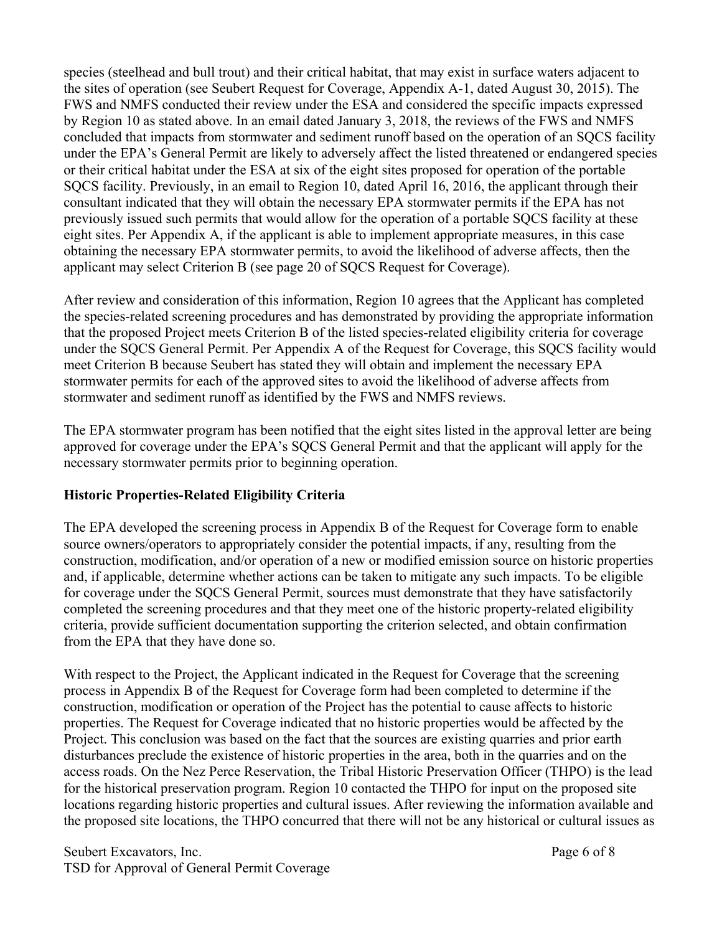species (steelhead and bull trout) and their critical habitat, that may exist in surface waters adjacent to the sites of operation (see Seubert Request for Coverage, Appendix A-1, dated August 30, 2015). The FWS and NMFS conducted their review under the ESA and considered the specific impacts expressed by Region 10 as stated above. In an email dated January 3, 2018, the reviews of the FWS and NMFS concluded that impacts from stormwater and sediment runoff based on the operation of an SQCS facility under the EPA's General Permit are likely to adversely affect the listed threatened or endangered species or their critical habitat under the ESA at six of the eight sites proposed for operation of the portable SQCS facility. Previously, in an email to Region 10, dated April 16, 2016, the applicant through their consultant indicated that they will obtain the necessary EPA stormwater permits if the EPA has not previously issued such permits that would allow for the operation of a portable SQCS facility at these eight sites. Per Appendix A, if the applicant is able to implement appropriate measures, in this case obtaining the necessary EPA stormwater permits, to avoid the likelihood of adverse affects, then the applicant may select Criterion B (see page 20 of SQCS Request for Coverage).

After review and consideration of this information, Region 10 agrees that the Applicant has completed the species-related screening procedures and has demonstrated by providing the appropriate information that the proposed Project meets Criterion B of the listed species-related eligibility criteria for coverage under the SQCS General Permit. Per Appendix A of the Request for Coverage, this SQCS facility would meet Criterion B because Seubert has stated they will obtain and implement the necessary EPA stormwater permits for each of the approved sites to avoid the likelihood of adverse affects from stormwater and sediment runoff as identified by the FWS and NMFS reviews.

The EPA stormwater program has been notified that the eight sites listed in the approval letter are being approved for coverage under the EPA's SQCS General Permit and that the applicant will apply for the necessary stormwater permits prior to beginning operation.

# **Historic Properties-Related Eligibility Criteria**

The EPA developed the screening process in Appendix B of the Request for Coverage form to enable source owners/operators to appropriately consider the potential impacts, if any, resulting from the construction, modification, and/or operation of a new or modified emission source on historic properties and, if applicable, determine whether actions can be taken to mitigate any such impacts. To be eligible for coverage under the SQCS General Permit, sources must demonstrate that they have satisfactorily completed the screening procedures and that they meet one of the historic property-related eligibility criteria, provide sufficient documentation supporting the criterion selected, and obtain confirmation from the EPA that they have done so.

With respect to the Project, the Applicant indicated in the Request for Coverage that the screening process in Appendix B of the Request for Coverage form had been completed to determine if the construction, modification or operation of the Project has the potential to cause affects to historic properties. The Request for Coverage indicated that no historic properties would be affected by the Project. This conclusion was based on the fact that the sources are existing quarries and prior earth disturbances preclude the existence of historic properties in the area, both in the quarries and on the access roads. On the Nez Perce Reservation, the Tribal Historic Preservation Officer (THPO) is the lead for the historical preservation program. Region 10 contacted the THPO for input on the proposed site locations regarding historic properties and cultural issues. After reviewing the information available and the proposed site locations, the THPO concurred that there will not be any historical or cultural issues as

Seubert Excavators, Inc. **Page 6 of 8** TSD for Approval of General Permit Coverage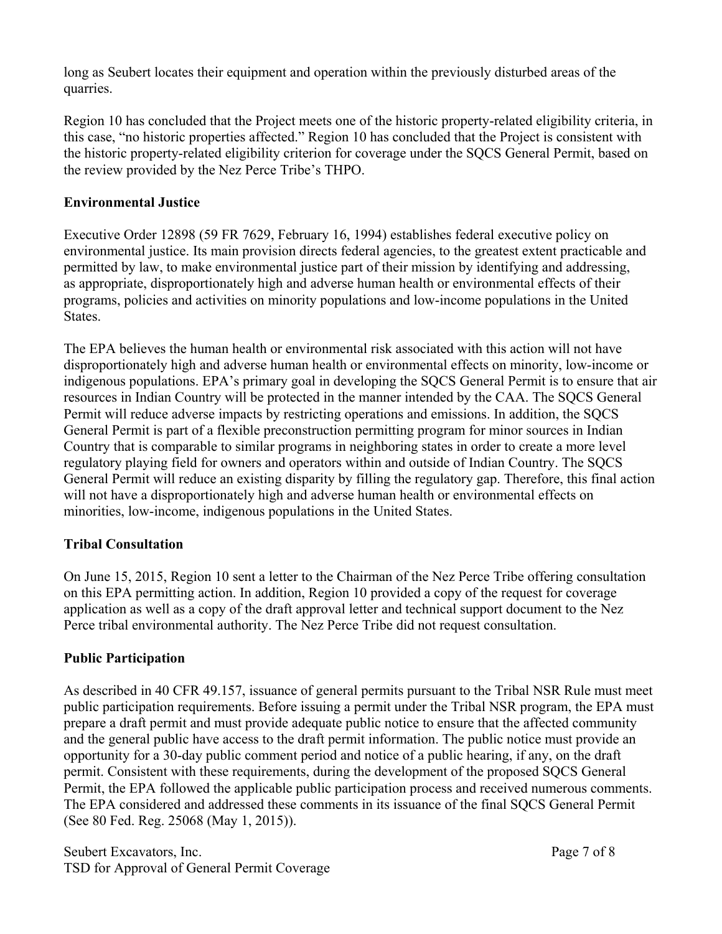long as Seubert locates their equipment and operation within the previously disturbed areas of the quarries.

Region 10 has concluded that the Project meets one of the historic property-related eligibility criteria, in this case, "no historic properties affected." Region 10 has concluded that the Project is consistent with the historic property-related eligibility criterion for coverage under the SQCS General Permit, based on the review provided by the Nez Perce Tribe's THPO.

# **Environmental Justice**

Executive Order 12898 (59 FR 7629, February 16, 1994) establishes federal executive policy on environmental justice. Its main provision directs federal agencies, to the greatest extent practicable and permitted by law, to make environmental justice part of their mission by identifying and addressing, as appropriate, disproportionately high and adverse human health or environmental effects of their programs, policies and activities on minority populations and low-income populations in the United States.

The EPA believes the human health or environmental risk associated with this action will not have disproportionately high and adverse human health or environmental effects on minority, low-income or indigenous populations. EPA's primary goal in developing the SQCS General Permit is to ensure that air resources in Indian Country will be protected in the manner intended by the CAA. The SQCS General Permit will reduce adverse impacts by restricting operations and emissions. In addition, the SQCS General Permit is part of a flexible preconstruction permitting program for minor sources in Indian Country that is comparable to similar programs in neighboring states in order to create a more level regulatory playing field for owners and operators within and outside of Indian Country. The SQCS General Permit will reduce an existing disparity by filling the regulatory gap. Therefore, this final action will not have a disproportionately high and adverse human health or environmental effects on minorities, low-income, indigenous populations in the United States.

# **Tribal Consultation**

On June 15, 2015, Region 10 sent a letter to the Chairman of the Nez Perce Tribe offering consultation on this EPA permitting action. In addition, Region 10 provided a copy of the request for coverage application as well as a copy of the draft approval letter and technical support document to the Nez Perce tribal environmental authority. The Nez Perce Tribe did not request consultation.

# **Public Participation**

As described in 40 CFR 49.157, issuance of general permits pursuant to the Tribal NSR Rule must meet public participation requirements. Before issuing a permit under the Tribal NSR program, the EPA must prepare a draft permit and must provide adequate public notice to ensure that the affected community and the general public have access to the draft permit information. The public notice must provide an opportunity for a 30-day public comment period and notice of a public hearing, if any, on the draft permit. Consistent with these requirements, during the development of the proposed SQCS General Permit, the EPA followed the applicable public participation process and received numerous comments. The EPA considered and addressed these comments in its issuance of the final SQCS General Permit (See 80 Fed. Reg. 25068 (May 1, 2015)).

Seubert Excavators, Inc. Page 7 of 8 TSD for Approval of General Permit Coverage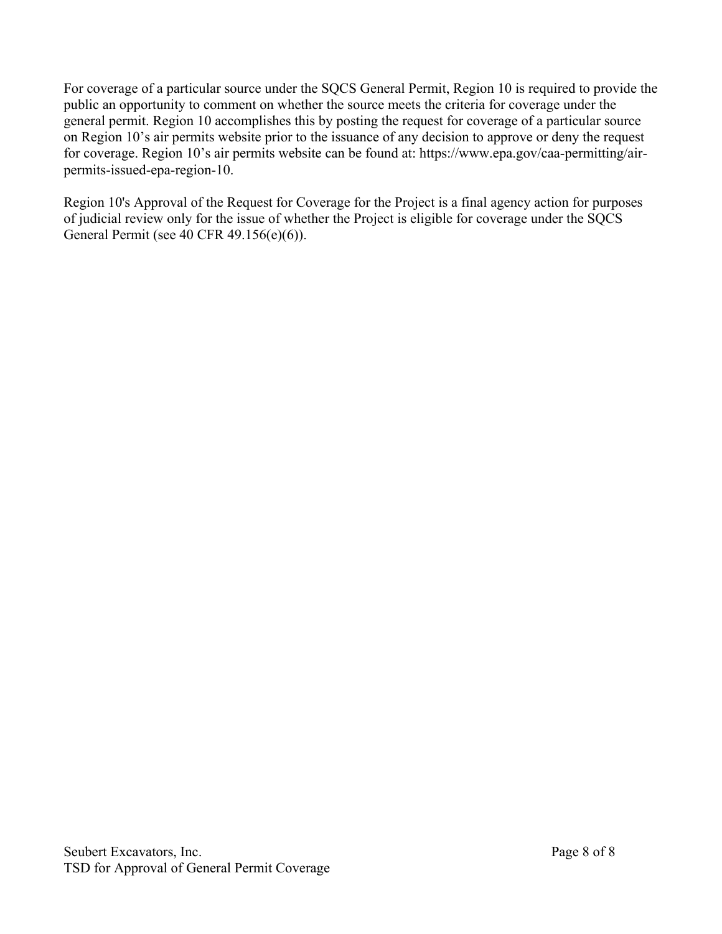For coverage of a particular source under the SQCS General Permit, Region 10 is required to provide the public an opportunity to comment on whether the source meets the criteria for coverage under the general permit. Region 10 accomplishes this by posting the request for coverage of a particular source on Region 10's air permits website prior to the issuance of any decision to approve or deny the request for coverage. Region 10's air permits website can be found at: https://www.epa.gov/caa-permitting/airpermits-issued-epa-region-10.

Region 10's Approval of the Request for Coverage for the Project is a final agency action for purposes of judicial review only for the issue of whether the Project is eligible for coverage under the SQCS General Permit (see 40 CFR 49.156(e)(6)).